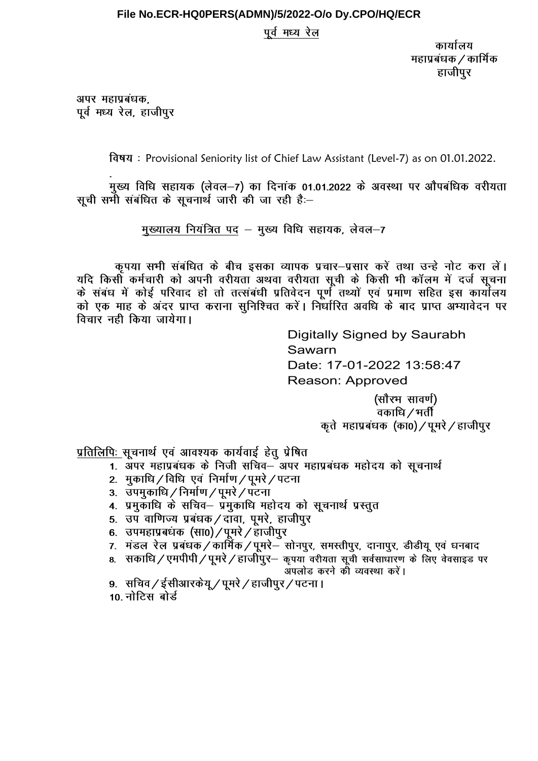## File No.ECR-HQ0PERS(ADMN)/5/2022-O/o Dy.CPO/HQ/ECR

पूर्व मध्य रेल

कार्यालय महाप्रबंधक / कार्मिक हाजीपुर

अपर महाप्रबंधक, पूर्व मध्य रेल, हाजीपुर

विषय: Provisional Seniority list of Chief Law Assistant (Level-7) as on 01.01.2022.

मुख्य विधि सहायक (लेवल-7) का दिनांक 01.01.2022 के अवस्था पर औपबंधिक वरीयता सूची सभी संबंधित के सुचनार्थ जारी की जा रही है:-

मुख्यालय नियंत्रित पद – मुख्य विधि सहायक, लेवल-7

कृपया सभी संबंधित के बीच इसका व्यापक प्रचार–प्रसार करें तथा उन्हे नोट करा लें। यदि किसी कर्मचारी को अपनी वरीयता अथवा वरीयता सूची के किसी भी कॉलम में दर्ज सूचना के संबंध में कोई परिवाद हो तो तत्संबंधी प्रतिवेदन पुर्ण तथ्यों एवं प्रमाण सहित इस कार्योलय को एक माह के अंदर प्राप्त कराना सुनिश्चित करें। निर्धारित अवधि के बाद प्राप्त अभ्यावेदन पर विचार नही किया जायेगा।

> Digitally Signed by Saurabh Sawarn Date: 17-01-2022 13:58:47 **Reason: Approved**

(सौरभ सावर्ण) वकाधि / भर्ती कृते महाप्रबंधक (का0) / पूमरे / हाजीपुर

प्रतिलिपिः सुचनार्थ एवं आवश्यक कार्यवाई हेतु प्रेषित

- 1. अपर महाप्रबंधक के निजी सचिव– अपर महाप्रबंधक महोदय को सूचनार्थ
- 2. मुकाधि / विधि एवं निर्माण / पूमरे / पटना
- 3. उपमुकाधि / निर्माण / पूमरे / पटना
- 4. प्रमुकाधि के सचिव– प्रमुकाधि महोदय को सूचनार्थ प्रस्तुत
- 5. उप वाणिज्य प्रबंधक / दावा, पुमरे, हाजीपुर
- 6. उपमहाप्रबंधक (सा0) / पूमरे / हाजीपुर
- 7. मंडल रेल प्रबंधक/कार्मिक/पूमरे– सोनपुर, समस्तीपुर, दानापुर, डीडीयू एवं धनबाद
- ..<br>8. सकाधि / एमपीपी / पूमरे / हाजीपुर- कृपया वरीयता सूची सर्वसाधारण के लिए वेवसाइड पर अपलोड करने की व्यवस्था करें।
- 9. सचिव / ईसीआरकेयू / पूमरे / हाजीपुर / पटना ।

10 नोटिस बोर्ड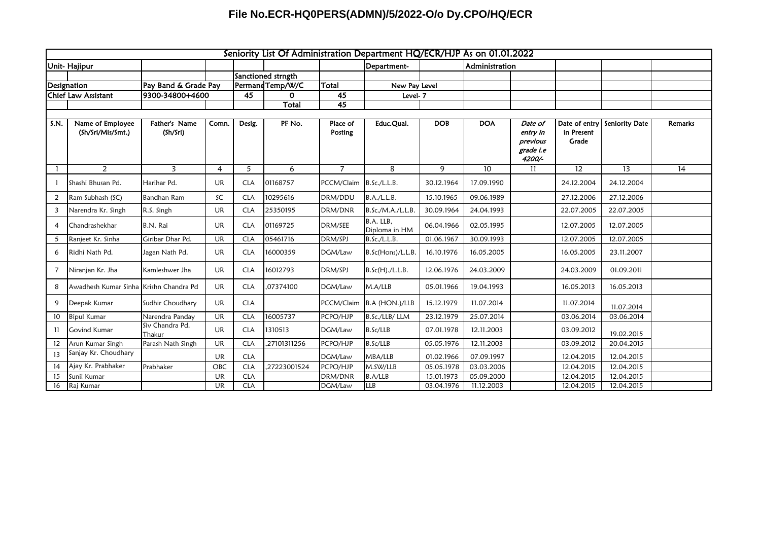## **File No.ECR-HQ0PERS(ADMN)/5/2022-O/o Dy.CPO/HQ/ECR**

| Seniority List Of Administration Department HQ/ECR/HJP As on 01.01.2022 |                                        |                           |                |                  |                    |                     |                            |            |                |                                                        |                                      |                |                |
|-------------------------------------------------------------------------|----------------------------------------|---------------------------|----------------|------------------|--------------------|---------------------|----------------------------|------------|----------------|--------------------------------------------------------|--------------------------------------|----------------|----------------|
|                                                                         | Unit- Hajipur                          |                           |                |                  |                    |                     | Department-                |            | Administration |                                                        |                                      |                |                |
|                                                                         |                                        |                           |                |                  | Sanctioned strngth |                     |                            |            |                |                                                        |                                      |                |                |
| Designation                                                             |                                        | Pay Band & Grade Pay      |                | Permand Temp/W/C |                    | Total               | New Pay Level              |            |                |                                                        |                                      |                |                |
|                                                                         | <b>Chief Law Assistant</b>             | 9300-34800+4600           |                | 45<br>$\Omega$   |                    | 45                  | Level-7                    |            |                |                                                        |                                      |                |                |
|                                                                         |                                        |                           |                |                  | Total              | $\overline{45}$     |                            |            |                |                                                        |                                      |                |                |
|                                                                         |                                        |                           |                |                  |                    |                     |                            |            |                |                                                        |                                      |                |                |
| S.N.                                                                    | Name of Employee<br>(Sh/Sri/Mis/Smt.)  | Father's Name<br>(Sh/Sri) | Comn.          | Desig.           | PF No.             | Place of<br>Posting | Educ.Qual.                 | <b>DOB</b> | <b>DOA</b>     | Date of<br>entry in<br>previous<br>grade i.e<br>4200/- | Date of entry<br>in Present<br>Grade | Seniority Date | <b>Remarks</b> |
|                                                                         | $\overline{2}$                         | 3                         | $\overline{4}$ | 5                | 6                  | $\overline{7}$      | 8                          | 9          | 10             | 11                                                     | 12                                   | 13             | 14             |
|                                                                         | Shashi Bhusan Pd.                      | Harihar Pd.               | <b>UR</b>      | <b>CLA</b>       | 01168757           | PCCM/Claim          | <b>B.Sc./L.L.B.</b>        | 30.12.1964 | 17.09.1990     |                                                        | 24.12.2004                           | 24.12.2004     |                |
| 2                                                                       | Ram Subhash (SC)                       | <b>Bandhan Ram</b>        | SC             | <b>CLA</b>       | 10295616           | DRM/DDU             | B.A./L.L.B.                | 15.10.1965 | 09.06.1989     |                                                        | 27.12.2006                           | 27.12.2006     |                |
| 3                                                                       | Narendra Kr. Singh                     | R.S. Singh                | UR             | <b>CLA</b>       | 25350195           | DRM/DNR             | B.Sc./M.A./L.L.B.          | 30.09.1964 | 24.04.1993     |                                                        | 22.07.2005                           | 22.07.2005     |                |
| $\overline{4}$                                                          | Chandrashekhar                         | B.N. Rai                  | <b>UR</b>      | <b>CLA</b>       | 01169725           | DRM/SEE             | B.A. LLB.<br>Diploma in HM | 06.04.1966 | 02.05.1995     |                                                        | 12.07.2005                           | 12.07.2005     |                |
| 5                                                                       | Ranjeet Kr. Sinha                      | Giribar Dhar Pd.          | <b>UR</b>      | <b>CLA</b>       | 05461716           | DRM/SPJ             | B.Sc./L.L.B.               | 01.06.1967 | 30.09.1993     |                                                        | 12.07.2005                           | 12.07.2005     |                |
| 6                                                                       | Ridhi Nath Pd.                         | Jagan Nath Pd.            | UR             | <b>CLA</b>       | 16000359           | DGM/Law             | B.Sc(Hons)/L.L.B.          | 16.10.1976 | 16.05.2005     |                                                        | 16.05.2005                           | 23.11.2007     |                |
| 7                                                                       | Niranjan Kr. Jha                       | Kamleshwer Jha            | <b>UR</b>      | <b>CLA</b>       | 16012793           | DRM/SPJ             | B.Sc(H)./L.L.B.            | 12.06.1976 | 24.03.2009     |                                                        | 24.03.2009                           | 01.09.2011     |                |
| 8                                                                       | Awadhesh Kumar Sinha Krishn Chandra Pd |                           | UR             | <b>CLA</b>       | ,07374100          | DGM/Law             | M.A/LLB                    | 05.01.1966 | 19.04.1993     |                                                        | 16.05.2013                           | 16.05.2013     |                |
| 9                                                                       | Deepak Kumar                           | Sudhir Choudhary          | UR             | <b>CLA</b>       |                    | PCCM/Claim          | B.A (HON.)/LLB             | 15.12.1979 | 11.07.2014     |                                                        | 11.07.2014                           | 11.07.2014     |                |
| 10                                                                      | <b>Bipul Kumar</b>                     | Narendra Panday           | <b>UR</b>      | <b>CLA</b>       | 16005737           | PCPO/HJP            | B.Sc./LLB/ LLM             | 23.12.1979 | 25.07.2014     |                                                        | 03.06.2014                           | 03.06.2014     |                |
| 11                                                                      | <b>Govind Kumar</b>                    | Siv Chandra Pd.<br>Thakur | <b>UR</b>      | <b>CLA</b>       | 1310513            | DGM/Law             | B.Sc/LLB                   | 07.01.1978 | 12.11.2003     |                                                        | 03.09.2012                           | 19.02.2015     |                |
| 12                                                                      | Arun Kumar Singh                       | Parash Nath Singh         | <b>UR</b>      | <b>CLA</b>       | ,27101311256       | PCPO/HJP            | B.Sc/LLB                   | 05.05.1976 | 12.11.2003     |                                                        | 03.09.2012                           | 20.04.2015     |                |
| 13                                                                      | Sanjay Kr. Choudhary                   |                           | UR             | <b>CLA</b>       |                    | DGM/Law             | MBA/LLB                    | 01.02.1966 | 07.09.1997     |                                                        | 12.04.2015                           | 12.04.2015     |                |
| 14                                                                      | Ajay Kr. Prabhaker                     | Prabhaker                 | OBC            | <b>CLA</b>       | ,27223001524       | PCPO/HJP            | M.SW/LLB                   | 05.05.1978 | 03.03.2006     |                                                        | 12.04.2015                           | 12.04.2015     |                |
| 15                                                                      | Sunil Kumar                            |                           | <b>UR</b>      | <b>CLA</b>       |                    | DRM/DNR             | B.A/LLB                    | 15.01.1973 | 05.09.2000     |                                                        | 12.04.2015                           | 12.04.2015     |                |
| 16                                                                      | Raj Kumar                              |                           | <b>UR</b>      | <b>CLA</b>       |                    | DGM/Law             | LLB                        | 03.04.1976 | 11.12.2003     |                                                        | 12.04.2015                           | 12.04.2015     |                |